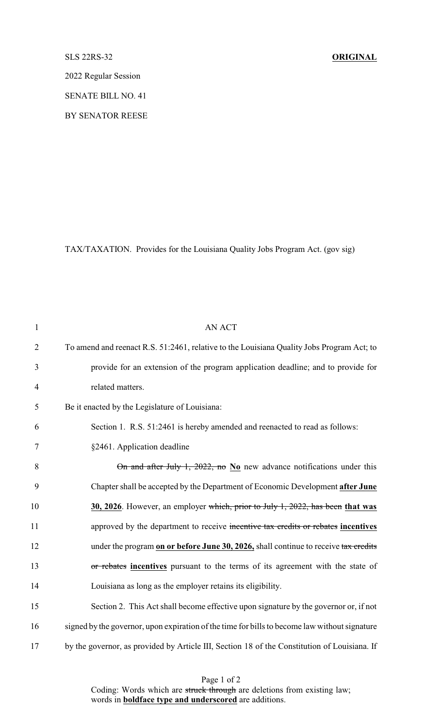## SLS 22RS-32 **ORIGINAL**

2022 Regular Session

SENATE BILL NO. 41

BY SENATOR REESE

TAX/TAXATION. Provides for the Louisiana Quality Jobs Program Act. (gov sig)

| $\mathbf{1}$   | <b>AN ACT</b>                                                                                 |
|----------------|-----------------------------------------------------------------------------------------------|
| $\overline{2}$ | To amend and reenact R.S. 51:2461, relative to the Louisiana Quality Jobs Program Act; to     |
| 3              | provide for an extension of the program application deadline; and to provide for              |
| $\overline{4}$ | related matters.                                                                              |
| 5              | Be it enacted by the Legislature of Louisiana:                                                |
| 6              | Section 1. R.S. 51:2461 is hereby amended and reenacted to read as follows:                   |
| $\tau$         | §2461. Application deadline                                                                   |
| 8              | On and after July 1, 2022, no $N_0$ new advance notifications under this                      |
| 9              | Chapter shall be accepted by the Department of Economic Development after June                |
| 10             | 30, 2026. However, an employer which, prior to July 1, 2022, has been that was                |
| 11             | approved by the department to receive incentive tax credits or rebates incentives             |
| 12             | under the program on or before June 30, 2026, shall continue to receive tax credits           |
| 13             | or rebates incentives pursuant to the terms of its agreement with the state of                |
| 14             | Louisiana as long as the employer retains its eligibility.                                    |
| 15             | Section 2. This Act shall become effective upon signature by the governor or, if not          |
| 16             | signed by the governor, upon expiration of the time for bills to become law without signature |
| 17             | by the governor, as provided by Article III, Section 18 of the Constitution of Louisiana. If  |

Page 1 of 2 Coding: Words which are struck through are deletions from existing law; words in **boldface type and underscored** are additions.